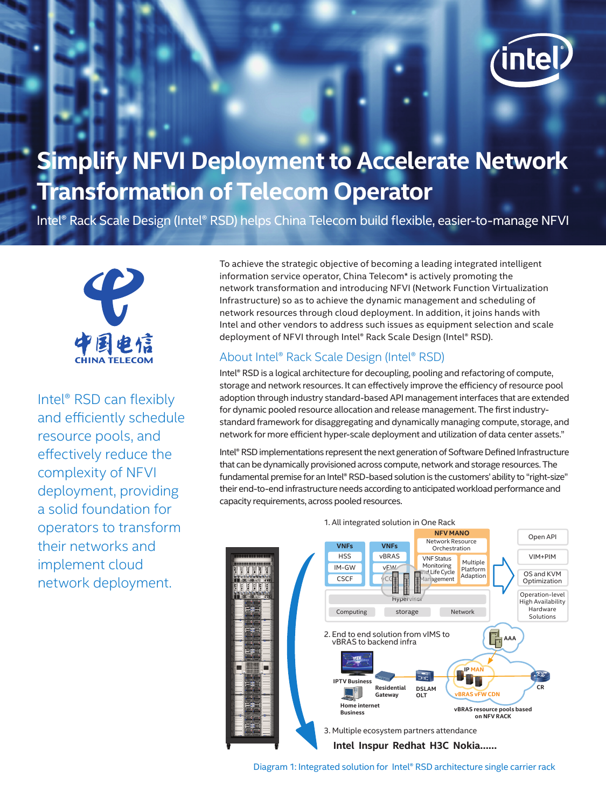

# **Simplify NFVI Deployment to Accelerate Network Transformation of Telecom Operator**

Intel® Rack Scale Design (Intel® RSD) helps China Telecom build flexible, easier-to-manage NFVI



Intel® RSD can flexibly and efficiently schedule resource pools, and effectively reduce the complexity of NFVI deployment, providing a solid foundation for operators to transform their networks and implement cloud network deployment.

To achieve the strategic objective of becoming a leading integrated intelligent information service operator, China Telecom\* is actively promoting the network transformation and introducing NFVI (Network Function Virtualization Infrastructure) so as to achieve the dynamic management and scheduling of network resources through cloud deployment. In addition, it joins hands with Intel and other vendors to address such issues as equipment selection and scale deployment of NFVI through Intel® Rack Scale Design (Intel® RSD).

## About Intel® Rack Scale Design (Intel® RSD)

Intel® RSD is a logical architecture for decoupling, pooling and refactoring of compute, storage and network resources. It can effectively improve the efficiency of resource pool adoption through industry standard-based API management interfaces that are extended for dynamic pooled resource allocation and release management. The first industrystandard framework for disaggregating and dynamically managing compute, storage, and network for more efficient hyper-scale deployment and utilization of data center assets."

Intel® RSD implementations represent the next generation of Software Defined Infrastructure that can be dynamically provisioned across compute, network and storage resources. The fundamental premise for an Intel® RSD-based solution is the customers' ability to "right-size" their end-to-end infrastructure needs according to anticipated workload performance and capacity requirements, across pooled resources.



Diagram 1: Integrated solution for Intel® RSD architecture single carrier rack